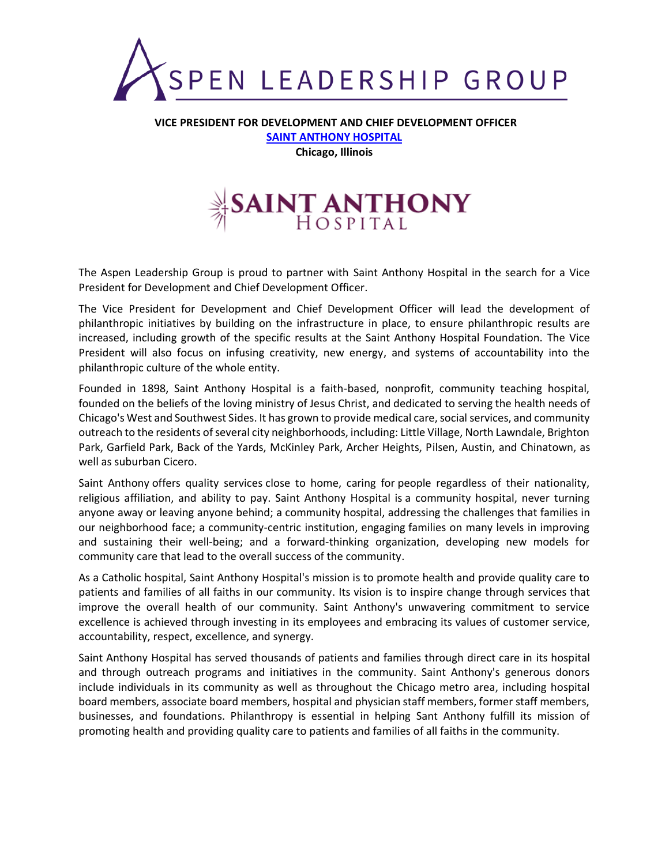

**VICE PRESIDENT FOR DEVELOPMENT AND CHIEF DEVELOPMENT OFFICER [SAINT ANTHONY HOSPITAL](https://sahchicago.org/) Chicago, Illinois**



The Aspen Leadership Group is proud to partner with Saint Anthony Hospital in the search for a Vice President for Development and Chief Development Officer.

The Vice President for Development and Chief Development Officer will lead the development of philanthropic initiatives by building on the infrastructure in place, to ensure philanthropic results are increased, including growth of the specific results at the Saint Anthony Hospital Foundation. The Vice President will also focus on infusing creativity, new energy, and systems of accountability into the philanthropic culture of the whole entity.

Founded in 1898, Saint Anthony Hospital is a faith-based, nonprofit, community teaching hospital, founded on the beliefs of the loving ministry of Jesus Christ, and dedicated to serving the health needs of Chicago's West and Southwest Sides. It has grown to provide medical care, social services, and community outreach to the residents of several city neighborhoods, including: Little Village, North Lawndale, Brighton Park, Garfield Park, Back of the Yards, McKinley Park, Archer Heights, Pilsen, Austin, and Chinatown, as well as suburban Cicero.

Saint Anthony offers quality services close to home, caring for people regardless of their nationality, religious affiliation, and ability to pay. Saint Anthony Hospital is a community hospital, never turning anyone away or leaving anyone behind; a community hospital, addressing the challenges that families in our neighborhood face; a community-centric institution, engaging families on many levels in improving and sustaining their well-being; and a forward-thinking organization, developing new models for community care that lead to the overall success of the community.

As a Catholic hospital, Saint Anthony Hospital's mission is to promote health and provide quality care to patients and families of all faiths in our community. Its vision is to inspire change through services that improve the overall health of our community. Saint Anthony's unwavering commitment to service excellence is achieved through investing in its employees and embracing its values of customer service, accountability, respect, excellence, and synergy.

Saint Anthony Hospital has served thousands of patients and families through direct care in its hospital and through outreach programs and initiatives in the community. Saint Anthony's generous donors include individuals in its community as well as throughout the Chicago metro area, including hospital board members, associate board members, hospital and physician staff members, former staff members, businesses, and foundations. Philanthropy is essential in helping Sant Anthony fulfill its mission of promoting health and providing quality care to patients and families of all faiths in the community.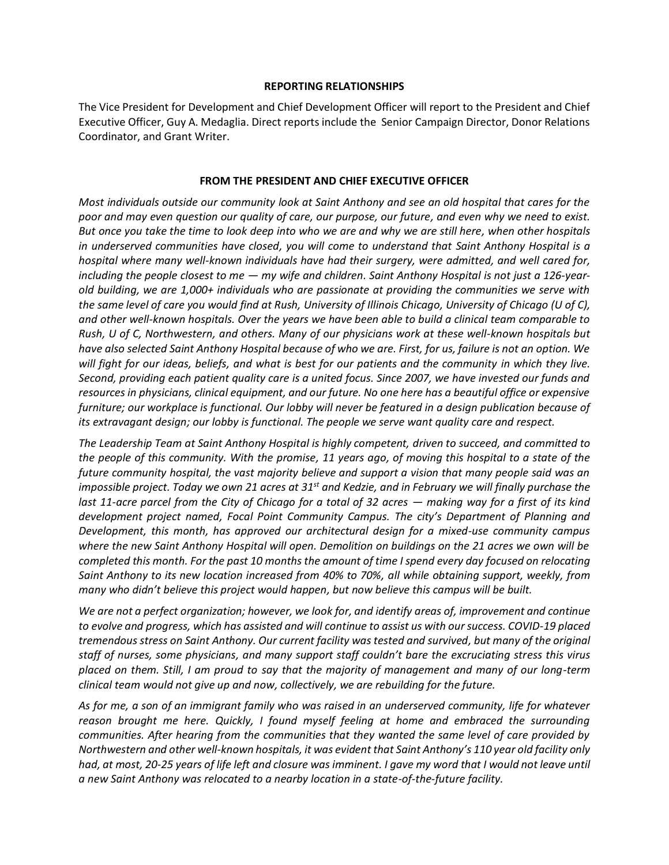#### **REPORTING RELATIONSHIPS**

The Vice President for Development and Chief Development Officer will report to the President and Chief Executive Officer, Guy A. Medaglia. Direct reports include the Senior Campaign Director, Donor Relations Coordinator, and Grant Writer.

### **FROM THE PRESIDENT AND CHIEF EXECUTIVE OFFICER**

*Most individuals outside our community look at Saint Anthony and see an old hospital that cares for the poor and may even question our quality of care, our purpose, our future, and even why we need to exist. But once you take the time to look deep into who we are and why we are still here, when other hospitals in underserved communities have closed, you will come to understand that Saint Anthony Hospital is a hospital where many well-known individuals have had their surgery, were admitted, and well cared for, including the people closest to me — my wife and children. Saint Anthony Hospital is not just a 126-yearold building, we are 1,000+ individuals who are passionate at providing the communities we serve with the same level of care you would find at Rush, University of Illinois Chicago, University of Chicago (U of C), and other well-known hospitals. Over the years we have been able to build a clinical team comparable to Rush, U of C, Northwestern, and others. Many of our physicians work at these well-known hospitals but have also selected Saint Anthony Hospital because of who we are. First, for us, failure is not an option. We will fight for our ideas, beliefs, and what is best for our patients and the community in which they live. Second, providing each patient quality care is a united focus. Since 2007, we have invested our funds and resources in physicians, clinical equipment, and our future. No one here has a beautiful office or expensive furniture; our workplace is functional. Our lobby will never be featured in a design publication because of its extravagant design; our lobby is functional. The people we serve want quality care and respect.* 

*The Leadership Team at Saint Anthony Hospital is highly competent, driven to succeed, and committed to the people of this community. With the promise, 11 years ago, of moving this hospital to a state of the future community hospital, the vast majority believe and support a vision that many people said was an impossible project. Today we own 21 acres at 31st and Kedzie, and in February we will finally purchase the last 11-acre parcel from the City of Chicago for a total of 32 acres — making way for a first of its kind development project named, Focal Point Community Campus. The city's Department of Planning and Development, this month, has approved our architectural design for a mixed-use community campus where the new Saint Anthony Hospital will open. Demolition on buildings on the 21 acres we own will be completed this month. For the past 10 months the amount of time I spend every day focused on relocating Saint Anthony to its new location increased from 40% to 70%, all while obtaining support, weekly, from many who didn't believe this project would happen, but now believe this campus will be built.* 

*We are not a perfect organization; however, we look for, and identify areas of, improvement and continue to evolve and progress, which has assisted and will continue to assist us with our success. COVID-19 placed tremendous stress on Saint Anthony. Our current facility was tested and survived, but many of the original staff of nurses, some physicians, and many support staff couldn't bare the excruciating stress this virus placed on them. Still, I am proud to say that the majority of management and many of our long-term clinical team would not give up and now, collectively, we are rebuilding for the future.* 

*As for me, a son of an immigrant family who was raised in an underserved community, life for whatever reason brought me here. Quickly, I found myself feeling at home and embraced the surrounding communities. After hearing from the communities that they wanted the same level of care provided by Northwestern and other well-known hospitals, it was evident that Saint Anthony's 110 year old facility only had, at most, 20-25 years of life left and closure was imminent. I gave my word that I would not leave until a new Saint Anthony was relocated to a nearby location in a state-of-the-future facility.*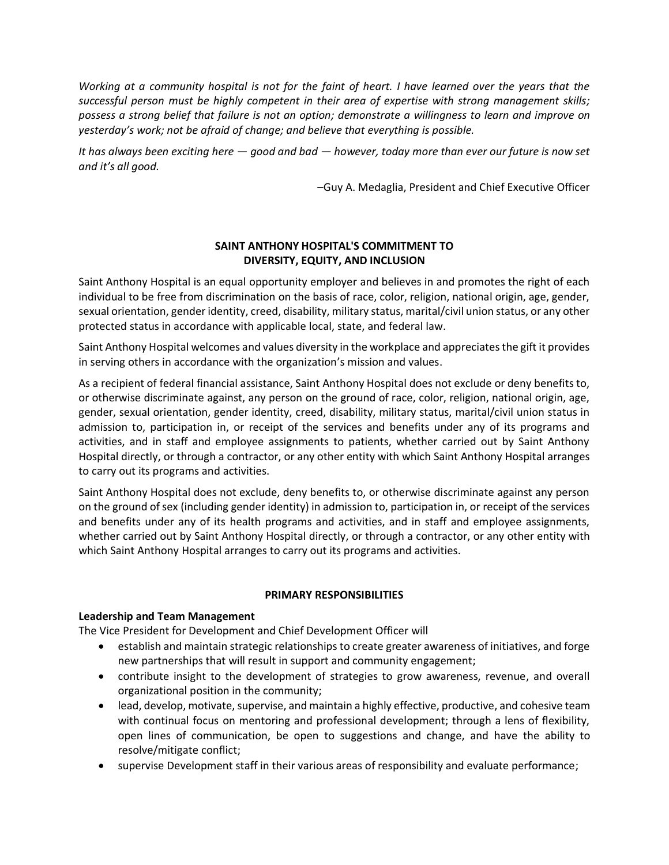*Working at a community hospital is not for the faint of heart. I have learned over the years that the successful person must be highly competent in their area of expertise with strong management skills; possess a strong belief that failure is not an option; demonstrate a willingness to learn and improve on yesterday's work; not be afraid of change; and believe that everything is possible.* 

*It has always been exciting here — good and bad — however, today more than ever our future is now set and it's all good.*

–Guy A. Medaglia, President and Chief Executive Officer

# **SAINT ANTHONY HOSPITAL'S COMMITMENT TO DIVERSITY, EQUITY, AND INCLUSION**

Saint Anthony Hospital is an equal opportunity employer and believes in and promotes the right of each individual to be free from discrimination on the basis of race, color, religion, national origin, age, gender, sexual orientation, gender identity, creed, disability, military status, marital/civil union status, or any other protected status in accordance with applicable local, state, and federal law.

Saint Anthony Hospital welcomes and values diversity in the workplace and appreciates the gift it provides in serving others in accordance with the organization's mission and values.

As a recipient of federal financial assistance, Saint Anthony Hospital does not exclude or deny benefits to, or otherwise discriminate against, any person on the ground of race, color, religion, national origin, age, gender, sexual orientation, gender identity, creed, disability, military status, marital/civil union status in admission to, participation in, or receipt of the services and benefits under any of its programs and activities, and in staff and employee assignments to patients, whether carried out by Saint Anthony Hospital directly, or through a contractor, or any other entity with which Saint Anthony Hospital arranges to carry out its programs and activities.

Saint Anthony Hospital does not exclude, deny benefits to, or otherwise discriminate against any person on the ground of sex (including gender identity) in admission to, participation in, or receipt of the services and benefits under any of its health programs and activities, and in staff and employee assignments, whether carried out by Saint Anthony Hospital directly, or through a contractor, or any other entity with which Saint Anthony Hospital arranges to carry out its programs and activities.

# **PRIMARY RESPONSIBILITIES**

# **Leadership and Team Management**

The Vice President for Development and Chief Development Officer will

- establish and maintain strategic relationships to create greater awareness of initiatives, and forge new partnerships that will result in support and community engagement;
- contribute insight to the development of strategies to grow awareness, revenue, and overall organizational position in the community;
- lead, develop, motivate, supervise, and maintain a highly effective, productive, and cohesive team with continual focus on mentoring and professional development; through a lens of flexibility, open lines of communication, be open to suggestions and change, and have the ability to resolve/mitigate conflict;
- supervise Development staff in their various areas of responsibility and evaluate performance;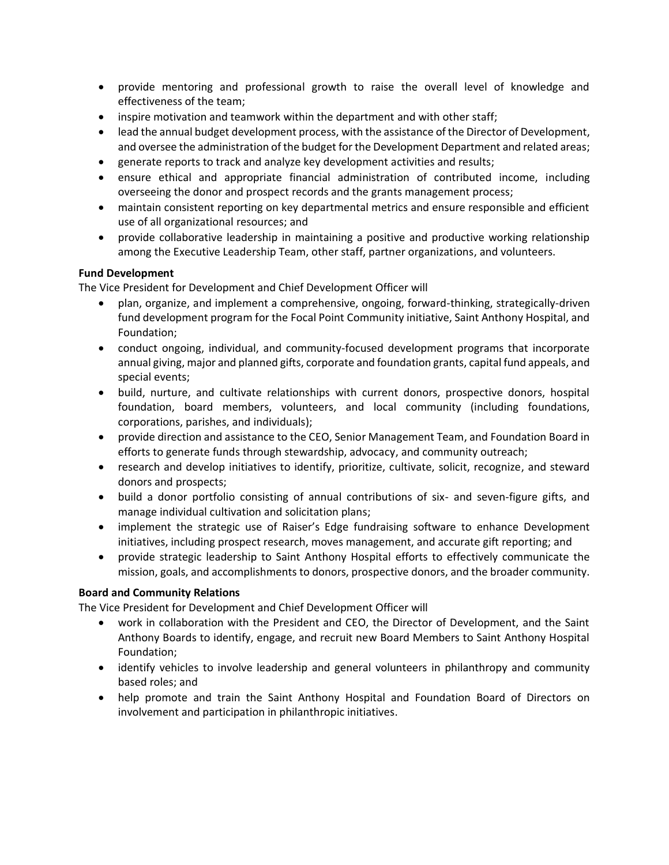- provide mentoring and professional growth to raise the overall level of knowledge and effectiveness of the team;
- inspire motivation and teamwork within the department and with other staff;
- lead the annual budget development process, with the assistance of the Director of Development, and oversee the administration of the budget for the Development Department and related areas;
- generate reports to track and analyze key development activities and results;
- ensure ethical and appropriate financial administration of contributed income, including overseeing the donor and prospect records and the grants management process;
- maintain consistent reporting on key departmental metrics and ensure responsible and efficient use of all organizational resources; and
- provide collaborative leadership in maintaining a positive and productive working relationship among the Executive Leadership Team, other staff, partner organizations, and volunteers.

# **Fund Development**

The Vice President for Development and Chief Development Officer will

- plan, organize, and implement a comprehensive, ongoing, forward-thinking, strategically-driven fund development program for the Focal Point Community initiative, Saint Anthony Hospital, and Foundation;
- conduct ongoing, individual, and community-focused development programs that incorporate annual giving, major and planned gifts, corporate and foundation grants, capital fund appeals, and special events;
- build, nurture, and cultivate relationships with current donors, prospective donors, hospital foundation, board members, volunteers, and local community (including foundations, corporations, parishes, and individuals);
- provide direction and assistance to the CEO, Senior Management Team, and Foundation Board in efforts to generate funds through stewardship, advocacy, and community outreach;
- research and develop initiatives to identify, prioritize, cultivate, solicit, recognize, and steward donors and prospects;
- build a donor portfolio consisting of annual contributions of six- and seven-figure gifts, and manage individual cultivation and solicitation plans;
- implement the strategic use of Raiser's Edge fundraising software to enhance Development initiatives, including prospect research, moves management, and accurate gift reporting; and
- provide strategic leadership to Saint Anthony Hospital efforts to effectively communicate the mission, goals, and accomplishments to donors, prospective donors, and the broader community.

# **Board and Community Relations**

The Vice President for Development and Chief Development Officer will

- work in collaboration with the President and CEO, the Director of Development, and the Saint Anthony Boards to identify, engage, and recruit new Board Members to Saint Anthony Hospital Foundation;
- identify vehicles to involve leadership and general volunteers in philanthropy and community based roles; and
- help promote and train the Saint Anthony Hospital and Foundation Board of Directors on involvement and participation in philanthropic initiatives.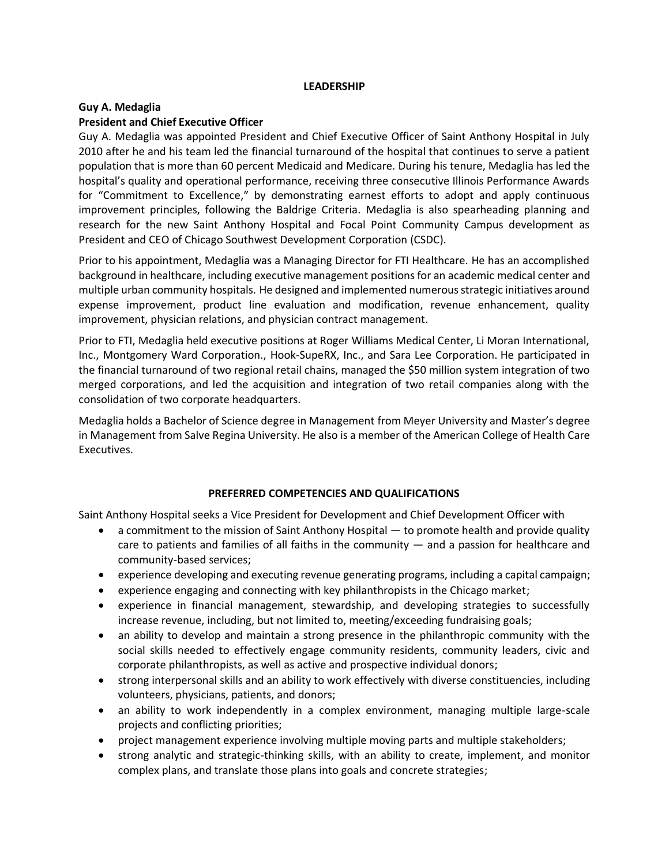### **LEADERSHIP**

### **Guy A. Medaglia President and Chief Executive Officer**

Guy A. Medaglia was appointed President and Chief Executive Officer of Saint Anthony Hospital in July 2010 after he and his team led the financial turnaround of the hospital that continues to serve a patient population that is more than 60 percent Medicaid and Medicare. During his tenure, Medaglia has led the hospital's quality and operational performance, receiving three consecutive Illinois Performance Awards for "Commitment to Excellence," by demonstrating earnest efforts to adopt and apply continuous improvement principles, following the Baldrige Criteria. Medaglia is also spearheading planning and research for the new Saint Anthony Hospital and Focal Point Community Campus development as President and CEO of Chicago Southwest Development Corporation (CSDC).

Prior to his appointment, Medaglia was a Managing Director for FTI Healthcare. He has an accomplished background in healthcare, including executive management positions for an academic medical center and multiple urban community hospitals. He designed and implemented numerous strategic initiatives around expense improvement, product line evaluation and modification, revenue enhancement, quality improvement, physician relations, and physician contract management.

Prior to FTI, Medaglia held executive positions at Roger Williams Medical Center, Li Moran International, Inc., Montgomery Ward Corporation., Hook-SupeRX, Inc., and Sara Lee Corporation. He participated in the financial turnaround of two regional retail chains, managed the \$50 million system integration of two merged corporations, and led the acquisition and integration of two retail companies along with the consolidation of two corporate headquarters.

Medaglia holds a Bachelor of Science degree in Management from Meyer University and Master's degree in Management from Salve Regina University. He also is a member of the American College of Health Care Executives.

# **PREFERRED COMPETENCIES AND QUALIFICATIONS**

Saint Anthony Hospital seeks a Vice President for Development and Chief Development Officer with

- a commitment to the mission of Saint Anthony Hospital to promote health and provide quality care to patients and families of all faiths in the community — and a passion for healthcare and community-based services;
- experience developing and executing revenue generating programs, including a capital campaign;
- experience engaging and connecting with key philanthropists in the Chicago market;
- experience in financial management, stewardship, and developing strategies to successfully increase revenue, including, but not limited to, meeting/exceeding fundraising goals;
- an ability to develop and maintain a strong presence in the philanthropic community with the social skills needed to effectively engage community residents, community leaders, civic and corporate philanthropists, as well as active and prospective individual donors;
- strong interpersonal skills and an ability to work effectively with diverse constituencies, including volunteers, physicians, patients, and donors;
- an ability to work independently in a complex environment, managing multiple large-scale projects and conflicting priorities;
- project management experience involving multiple moving parts and multiple stakeholders;
- strong analytic and strategic-thinking skills, with an ability to create, implement, and monitor complex plans, and translate those plans into goals and concrete strategies;